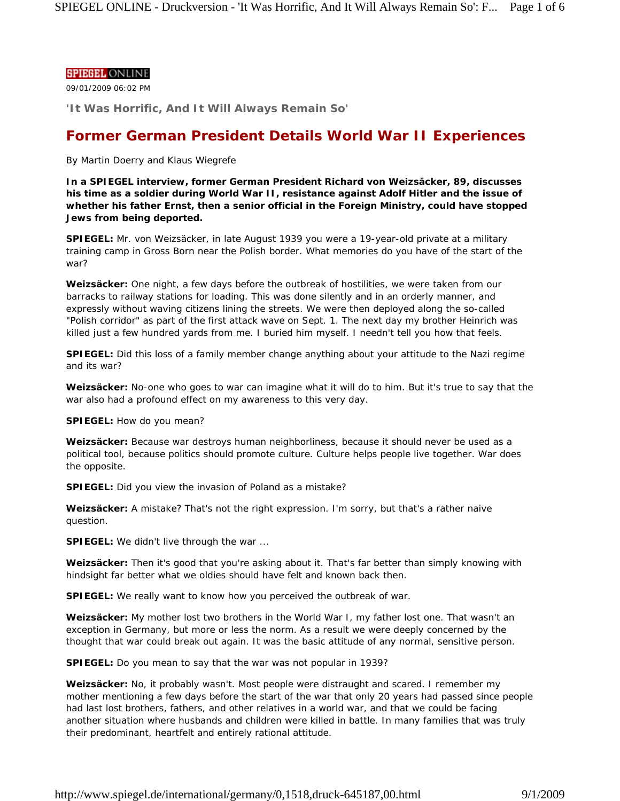## **SPIEGEL ONLINE**

09/01/2009 06:02 PM

**'It Was Horrific, And It Will Always Remain So'**

# **Former German President Details World War II Experiences**

*By Martin Doerry and Klaus Wiegrefe*

**In a SPIEGEL interview, former German President Richard von Weizsäcker, 89, discusses his time as a soldier during World War II, resistance against Adolf Hitler and the issue of whether his father Ernst, then a senior official in the Foreign Ministry, could have stopped Jews from being deported.**

**SPIEGEL:** Mr. von Weizsäcker, in late August 1939 you were a 19-year-old private at a military training camp in Gross Born near the Polish border. What memories do you have of the start of the war?

**Weizsäcker:** One night, a few days before the outbreak of hostilities, we were taken from our barracks to railway stations for loading. This was done silently and in an orderly manner, and expressly without waving citizens lining the streets. We were then deployed along the so-called "Polish corridor" as part of the first attack wave on Sept. 1. The next day my brother Heinrich was killed just a few hundred yards from me. I buried him myself. I needn't tell you how that feels.

**SPIEGEL:** Did this loss of a family member change anything about your attitude to the Nazi regime and its war?

**Weizsäcker:** No-one who goes to war can imagine what it will do to him. But it's true to say that the war also had a profound effect on my awareness to this very day.

**SPIEGEL:** How do you mean?

**Weizsäcker:** Because war destroys human neighborliness, because it should never be used as a political tool, because politics should promote culture. Culture helps people live together. War does the opposite.

**SPIEGEL:** Did you view the invasion of Poland as a mistake?

**Weizsäcker:** A mistake? That's not the right expression. I'm sorry, but that's a rather naive question.

**SPIEGEL:** We didn't live through the war ...

**Weizsäcker:** Then it's good that you're asking about it. That's far better than simply knowing with hindsight far better what we oldies should have felt and known back then.

**SPIEGEL:** We really want to know how you perceived the outbreak of war.

**Weizsäcker:** My mother lost two brothers in the World War I, my father lost one. That wasn't an exception in Germany, but more or less the norm. As a result we were deeply concerned by the thought that war could break out again. It was the basic attitude of any normal, sensitive person.

**SPIEGEL:** Do you mean to say that the war was not popular in 1939?

**Weizsäcker:** No, it probably wasn't. Most people were distraught and scared. I remember my mother mentioning a few days before the start of the war that only 20 years had passed since people had last lost brothers, fathers, and other relatives in a world war, and that we could be facing another situation where husbands and children were killed in battle. In many families that was truly their predominant, heartfelt and entirely rational attitude.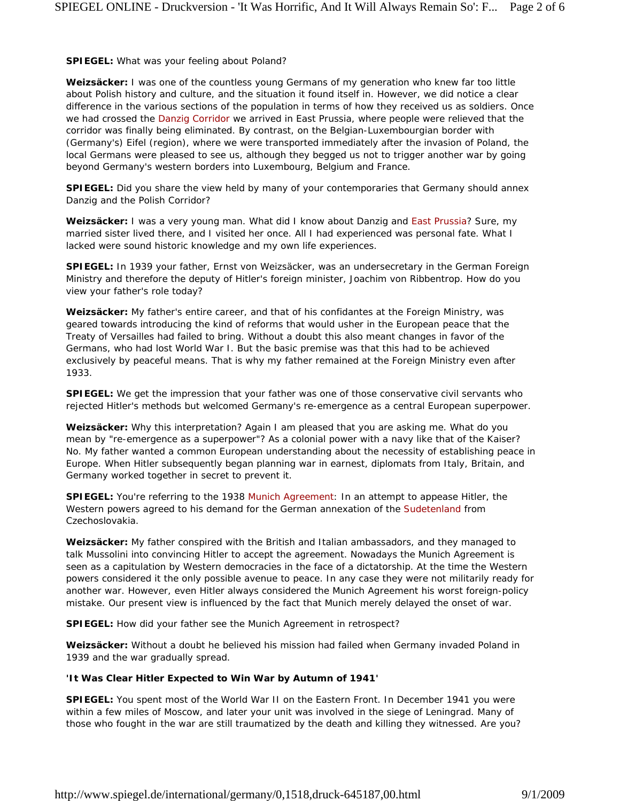**SPIEGEL:** What was your feeling about Poland?

**Weizsäcker:** I was one of the countless young Germans of my generation who knew far too little about Polish history and culture, and the situation it found itself in. However, we did notice a clear difference in the various sections of the population in terms of how they received us as soldiers. Once we had crossed the Danzig Corridor we arrived in East Prussia, where people were relieved that the corridor was finally being eliminated. By contrast, on the Belgian-Luxembourgian border with (Germany's) Eifel (region), where we were transported immediately after the invasion of Poland, the local Germans were pleased to see us, although they begged us not to trigger another war by going beyond Germany's western borders into Luxembourg, Belgium and France.

**SPIEGEL:** Did you share the view held by many of your contemporaries that Germany should annex Danzig and the Polish Corridor?

**Weizsäcker:** I was a very young man. What did I know about Danzig and East Prussia? Sure, my married sister lived there, and I visited her once. All I had experienced was personal fate. What I lacked were sound historic knowledge and my own life experiences.

**SPIEGEL:** In 1939 your father, Ernst von Weizsäcker, was an undersecretary in the German Foreign Ministry and therefore the deputy of Hitler's foreign minister, Joachim von Ribbentrop. How do you view your father's role today?

**Weizsäcker:** My father's entire career, and that of his confidantes at the Foreign Ministry, was geared towards introducing the kind of reforms that would usher in the European peace that the Treaty of Versailles had failed to bring. Without a doubt this also meant changes in favor of the Germans, who had lost World War I. But the basic premise was that this had to be achieved exclusively by peaceful means. That is why my father remained at the Foreign Ministry even after 1933.

**SPIEGEL:** We get the impression that your father was one of those conservative civil servants who rejected Hitler's methods but welcomed Germany's re-emergence as a central European superpower.

**Weizsäcker:** Why this interpretation? Again I am pleased that you are asking me. What do you mean by "re-emergence as a superpower"? As a colonial power with a navy like that of the Kaiser? No. My father wanted a common European understanding about the necessity of establishing peace in Europe. When Hitler subsequently began planning war in earnest, diplomats from Italy, Britain, and Germany worked together in secret to prevent it.

**SPIEGEL:** You're referring to the 1938 Munich Agreement: In an attempt to appease Hitler, the Western powers agreed to his demand for the German annexation of the Sudetenland from Czechoslovakia.

**Weizsäcker:** My father conspired with the British and Italian ambassadors, and they managed to talk Mussolini into convincing Hitler to accept the agreement. Nowadays the Munich Agreement is seen as a capitulation by Western democracies in the face of a dictatorship. At the time the Western powers considered it the only possible avenue to peace. In any case they were not militarily ready for another war. However, even Hitler always considered the Munich Agreement his worst foreign-policy mistake. Our present view is influenced by the fact that Munich merely delayed the onset of war.

**SPIEGEL:** How did your father see the Munich Agreement in retrospect?

**Weizsäcker:** Without a doubt he believed his mission had failed when Germany invaded Poland in 1939 and the war gradually spread.

# **'It Was Clear Hitler Expected to Win War by Autumn of 1941'**

**SPIEGEL:** You spent most of the World War II on the Eastern Front. In December 1941 you were within a few miles of Moscow, and later your unit was involved in the siege of Leningrad. Many of those who fought in the war are still traumatized by the death and killing they witnessed. Are you?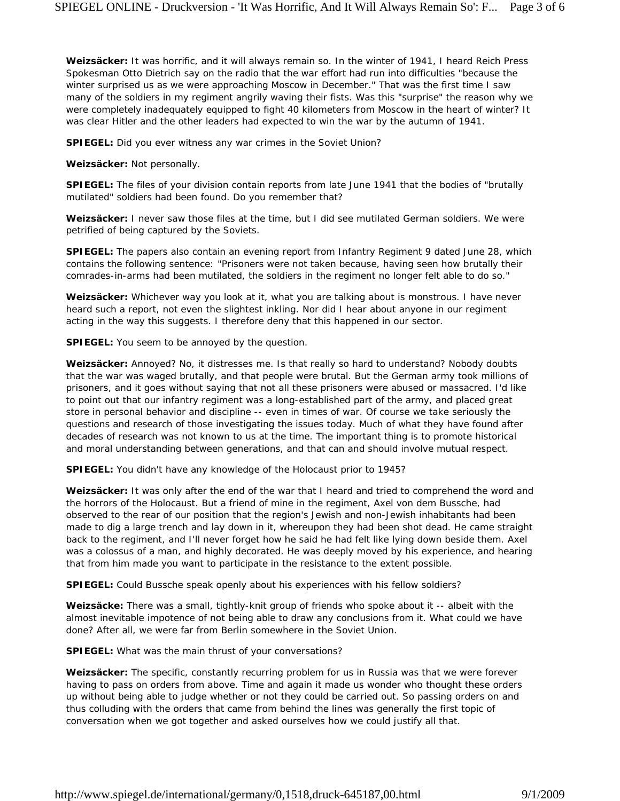**Weizsäcker:** It was horrific, and it will always remain so. In the winter of 1941, I heard Reich Press Spokesman Otto Dietrich say on the radio that the war effort had run into difficulties "because the winter surprised us as we were approaching Moscow in December." That was the first time I saw many of the soldiers in my regiment angrily waving their fists. Was this "surprise" the reason why we were completely inadequately equipped to fight 40 kilometers from Moscow in the heart of winter? It was clear Hitler and the other leaders had expected to win the war by the autumn of 1941.

**SPIEGEL:** Did you ever witness any war crimes in the Soviet Union?

**Weizsäcker:** Not personally.

**SPIEGEL:** The files of your division contain reports from late June 1941 that the bodies of "brutally mutilated" soldiers had been found. Do you remember that?

**Weizsäcker:** I never saw those files at the time, but I did see mutilated German soldiers. We were petrified of being captured by the Soviets.

**SPIEGEL:** The papers also contain an evening report from Infantry Regiment 9 dated June 28, which contains the following sentence: "Prisoners were not taken because, having seen how brutally their comrades-in-arms had been mutilated, the soldiers in the regiment no longer felt able to do so."

**Weizsäcker:** Whichever way you look at it, what you are talking about is monstrous. I have never heard such a report, not even the slightest inkling. Nor did I hear about anyone in our regiment acting in the way this suggests. I therefore deny that this happened in our sector.

**SPIEGEL:** You seem to be annoyed by the question.

**Weizsäcker:** Annoyed? No, it distresses me. Is that really so hard to understand? Nobody doubts that the war was waged brutally, and that people were brutal. But the German army took millions of prisoners, and it goes without saying that not all these prisoners were abused or massacred. I'd like to point out that our infantry regiment was a long-established part of the army, and placed great store in personal behavior and discipline -- even in times of war. Of course we take seriously the questions and research of those investigating the issues today. Much of what they have found after decades of research was not known to us at the time. The important thing is to promote historical and moral understanding between generations, and that can and should involve mutual respect.

**SPIEGEL:** You didn't have any knowledge of the Holocaust prior to 1945?

**Weizsäcker:** It was only after the end of the war that I heard and tried to comprehend the word and the horrors of the Holocaust. But a friend of mine in the regiment, Axel von dem Bussche, had observed to the rear of our position that the region's Jewish and non-Jewish inhabitants had been made to dig a large trench and lay down in it, whereupon they had been shot dead. He came straight back to the regiment, and I'll never forget how he said he had felt like lying down beside them. Axel was a colossus of a man, and highly decorated. He was deeply moved by his experience, and hearing that from him made you want to participate in the resistance to the extent possible.

**SPIEGEL:** Could Bussche speak openly about his experiences with his fellow soldiers?

**Weizsäcke:** There was a small, tightly-knit group of friends who spoke about it -- albeit with the almost inevitable impotence of not being able to draw any conclusions from it. What could we have done? After all, we were far from Berlin somewhere in the Soviet Union.

**SPIEGEL:** What was the main thrust of your conversations?

**Weizsäcker:** The specific, constantly recurring problem for us in Russia was that we were forever having to pass on orders from above. Time and again it made us wonder who thought these orders up without being able to judge whether or not they could be carried out. So passing orders on and thus colluding with the orders that came from behind the lines was generally the first topic of conversation when we got together and asked ourselves how we could justify all that.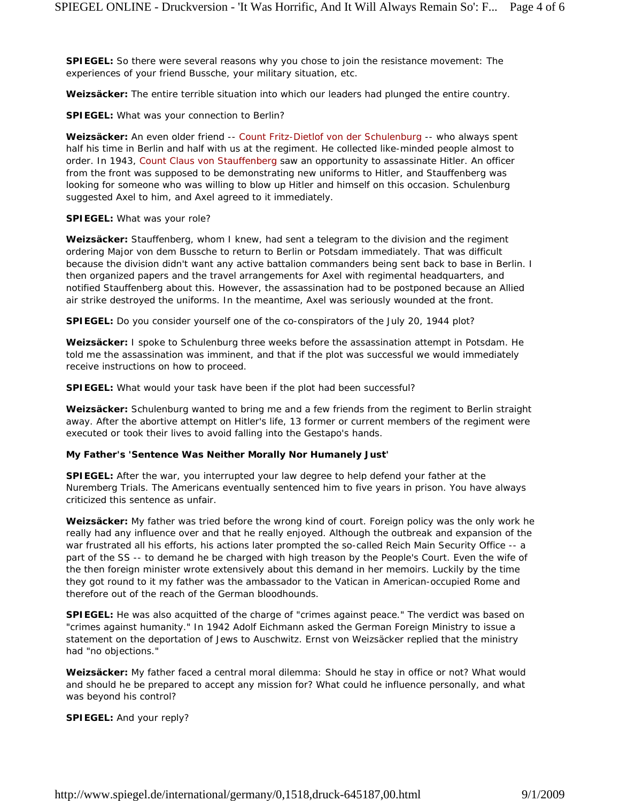**SPIEGEL:** So there were several reasons why you chose to join the resistance movement: The experiences of your friend Bussche, your military situation, etc.

**Weizsäcker:** The entire terrible situation into which our leaders had plunged the entire country.

**SPIEGEL:** What was your connection to Berlin?

**Weizsäcker:** An even older friend -- Count Fritz-Dietlof von der Schulenburg -- who always spent half his time in Berlin and half with us at the regiment. He collected like-minded people almost to order. In 1943, Count Claus von Stauffenberg saw an opportunity to assassinate Hitler. An officer from the front was supposed to be demonstrating new uniforms to Hitler, and Stauffenberg was looking for someone who was willing to blow up Hitler and himself on this occasion. Schulenburg suggested Axel to him, and Axel agreed to it immediately.

#### **SPIEGEL:** What was your role?

**Weizsäcker:** Stauffenberg, whom I knew, had sent a telegram to the division and the regiment ordering Major von dem Bussche to return to Berlin or Potsdam immediately. That was difficult because the division didn't want any active battalion commanders being sent back to base in Berlin. I then organized papers and the travel arrangements for Axel with regimental headquarters, and notified Stauffenberg about this. However, the assassination had to be postponed because an Allied air strike destroyed the uniforms. In the meantime, Axel was seriously wounded at the front.

**SPIEGEL:** Do you consider yourself one of the co-conspirators of the July 20, 1944 plot?

**Weizsäcker:** I spoke to Schulenburg three weeks before the assassination attempt in Potsdam. He told me the assassination was imminent, and that if the plot was successful we would immediately receive instructions on how to proceed.

**SPIEGEL:** What would your task have been if the plot had been successful?

**Weizsäcker:** Schulenburg wanted to bring me and a few friends from the regiment to Berlin straight away. After the abortive attempt on Hitler's life, 13 former or current members of the regiment were executed or took their lives to avoid falling into the Gestapo's hands.

#### **My Father's 'Sentence Was Neither Morally Nor Humanely Just'**

**SPIEGEL:** After the war, you interrupted your law degree to help defend your father at the Nuremberg Trials. The Americans eventually sentenced him to five years in prison. You have always criticized this sentence as unfair.

**Weizsäcker:** My father was tried before the wrong kind of court. Foreign policy was the only work he really had any influence over and that he really enjoyed. Although the outbreak and expansion of the war frustrated all his efforts, his actions later prompted the so-called Reich Main Security Office -- a part of the SS -- to demand he be charged with high treason by the People's Court. Even the wife of the then foreign minister wrote extensively about this demand in her memoirs. Luckily by the time they got round to it my father was the ambassador to the Vatican in American-occupied Rome and therefore out of the reach of the German bloodhounds.

**SPIEGEL:** He was also acquitted of the charge of "crimes against peace." The verdict was based on "crimes against humanity." In 1942 Adolf Eichmann asked the German Foreign Ministry to issue a statement on the deportation of Jews to Auschwitz. Ernst von Weizsäcker replied that the ministry had "no objections."

**Weizsäcker:** My father faced a central moral dilemma: Should he stay in office or not? What would and should he be prepared to accept any mission for? What could he influence personally, and what was beyond his control?

**SPIEGEL:** And your reply?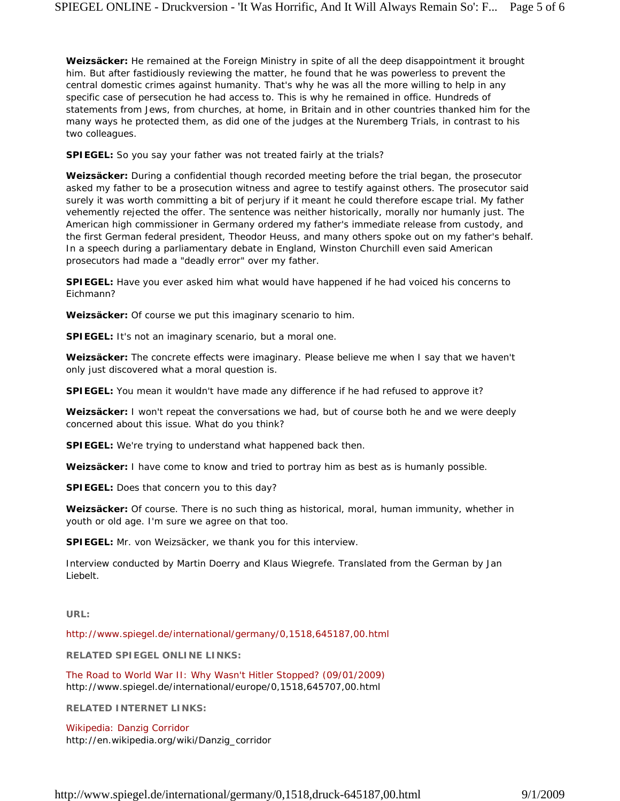**Weizsäcker:** He remained at the Foreign Ministry in spite of all the deep disappointment it brought him. But after fastidiously reviewing the matter, he found that he was powerless to prevent the central domestic crimes against humanity. That's why he was all the more willing to help in any specific case of persecution he had access to. This is why he remained in office. Hundreds of statements from Jews, from churches, at home, in Britain and in other countries thanked him for the many ways he protected them, as did one of the judges at the Nuremberg Trials, in contrast to his two colleagues.

**SPIEGEL:** So you say your father was not treated fairly at the trials?

**Weizsäcker:** During a confidential though recorded meeting before the trial began, the prosecutor asked my father to be a prosecution witness and agree to testify against others. The prosecutor said surely it was worth committing a bit of perjury if it meant he could therefore escape trial. My father vehemently rejected the offer. The sentence was neither historically, morally nor humanly just. The American high commissioner in Germany ordered my father's immediate release from custody, and the first German federal president, Theodor Heuss, and many others spoke out on my father's behalf. In a speech during a parliamentary debate in England, Winston Churchill even said American prosecutors had made a "deadly error" over my father.

**SPIEGEL:** Have you ever asked him what would have happened if he had voiced his concerns to Eichmann?

**Weizsäcker:** Of course we put this imaginary scenario to him.

**SPIEGEL:** It's not an imaginary scenario, but a moral one.

**Weizsäcker:** The concrete effects were imaginary. Please believe me when I say that we haven't only just discovered what a moral question is.

**SPIEGEL:** You mean it wouldn't have made any difference if he had refused to approve it?

**Weizsäcker:** I won't repeat the conversations we had, but of course both he and we were deeply concerned about this issue. What do you think?

**SPIEGEL:** We're trying to understand what happened back then.

**Weizsäcker:** I have come to know and tried to portray him as best as is humanly possible.

**SPIEGEL:** Does that concern you to this day?

**Weizsäcker:** Of course. There is no such thing as historical, moral, human immunity, whether in youth or old age. I'm sure we agree on that too.

**SPIEGEL:** Mr. von Weizsäcker, we thank you for this interview.

*Interview conducted by Martin Doerry and Klaus Wiegrefe. Translated from the German by Jan Liebelt.*

**URL:**

http://www.spiegel.de/international/germany/0,1518,645187,00.html

**RELATED SPIEGEL ONLINE LINKS:**

The Road to World War II: Why Wasn't Hitler Stopped? (09/01/2009) http://www.spiegel.de/international/europe/0,1518,645707,00.html

**RELATED INTERNET LINKS:**

Wikipedia: Danzig Corridor http://en.wikipedia.org/wiki/Danzig\_corridor